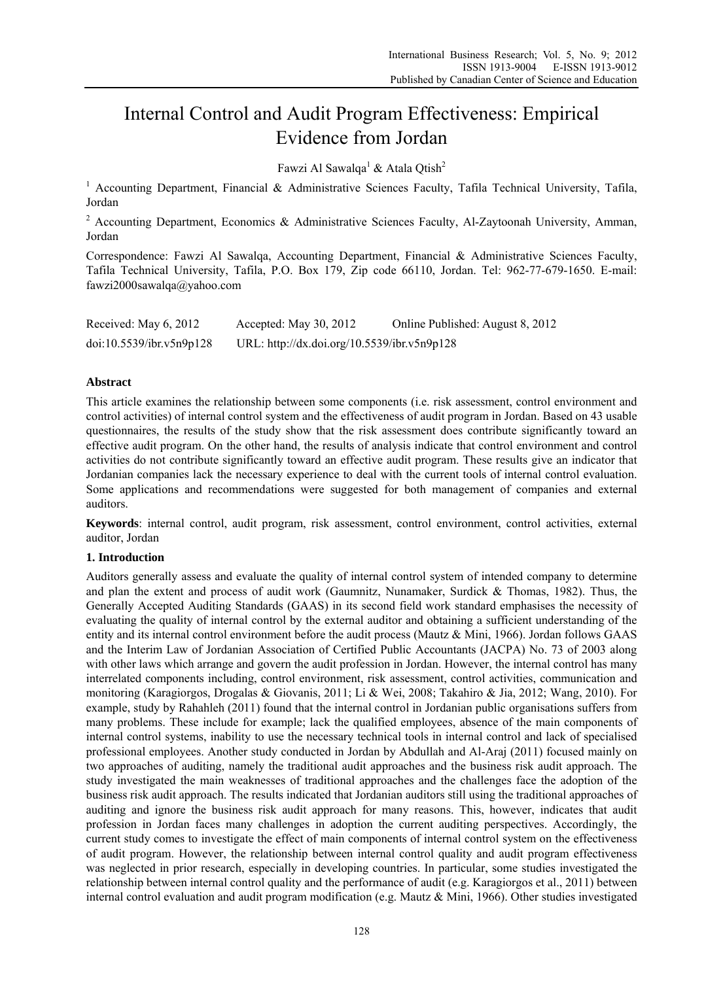# Internal Control and Audit Program Effectiveness: Empirical Evidence from Jordan

Fawzi Al Sawalqa<sup>1</sup> & Atala Qtish<sup>2</sup>

<sup>1</sup> Accounting Department, Financial & Administrative Sciences Faculty, Tafila Technical University, Tafila, Jordan

<sup>2</sup> Accounting Department, Economics & Administrative Sciences Faculty, Al-Zaytoonah University, Amman, Jordan

Correspondence: Fawzi Al Sawalqa, Accounting Department, Financial & Administrative Sciences Faculty, Tafila Technical University, Tafila, P.O. Box 179, Zip code 66110, Jordan. Tel: 962-77-679-1650. E-mail: fawzi2000sawalqa@yahoo.com

| Received: May 6, 2012    | Accepted: May 30, 2012                      | Online Published: August 8, 2012 |
|--------------------------|---------------------------------------------|----------------------------------|
| doi:10.5539/ibr.v5n9p128 | URL: http://dx.doi.org/10.5539/ibr.v5n9p128 |                                  |

## **Abstract**

This article examines the relationship between some components (i.e. risk assessment, control environment and control activities) of internal control system and the effectiveness of audit program in Jordan. Based on 43 usable questionnaires, the results of the study show that the risk assessment does contribute significantly toward an effective audit program. On the other hand, the results of analysis indicate that control environment and control activities do not contribute significantly toward an effective audit program. These results give an indicator that Jordanian companies lack the necessary experience to deal with the current tools of internal control evaluation. Some applications and recommendations were suggested for both management of companies and external auditors.

**Keywords**: internal control, audit program, risk assessment, control environment, control activities, external auditor, Jordan

### **1. Introduction**

Auditors generally assess and evaluate the quality of internal control system of intended company to determine and plan the extent and process of audit work (Gaumnitz, Nunamaker, Surdick & Thomas, 1982). Thus, the Generally Accepted Auditing Standards (GAAS) in its second field work standard emphasises the necessity of evaluating the quality of internal control by the external auditor and obtaining a sufficient understanding of the entity and its internal control environment before the audit process (Mautz & Mini, 1966). Jordan follows GAAS and the Interim Law of Jordanian Association of Certified Public Accountants (JACPA) No. 73 of 2003 along with other laws which arrange and govern the audit profession in Jordan. However, the internal control has many interrelated components including, control environment, risk assessment, control activities, communication and monitoring (Karagiorgos, Drogalas & Giovanis, 2011; Li & Wei, 2008; Takahiro & Jia, 2012; Wang, 2010). For example, study by Rahahleh (2011) found that the internal control in Jordanian public organisations suffers from many problems. These include for example; lack the qualified employees, absence of the main components of internal control systems, inability to use the necessary technical tools in internal control and lack of specialised professional employees. Another study conducted in Jordan by Abdullah and Al-Araj (2011) focused mainly on two approaches of auditing, namely the traditional audit approaches and the business risk audit approach. The study investigated the main weaknesses of traditional approaches and the challenges face the adoption of the business risk audit approach. The results indicated that Jordanian auditors still using the traditional approaches of auditing and ignore the business risk audit approach for many reasons. This, however, indicates that audit profession in Jordan faces many challenges in adoption the current auditing perspectives. Accordingly, the current study comes to investigate the effect of main components of internal control system on the effectiveness of audit program. However, the relationship between internal control quality and audit program effectiveness was neglected in prior research, especially in developing countries. In particular, some studies investigated the relationship between internal control quality and the performance of audit (e.g. Karagiorgos et al., 2011) between internal control evaluation and audit program modification (e.g. Mautz & Mini, 1966). Other studies investigated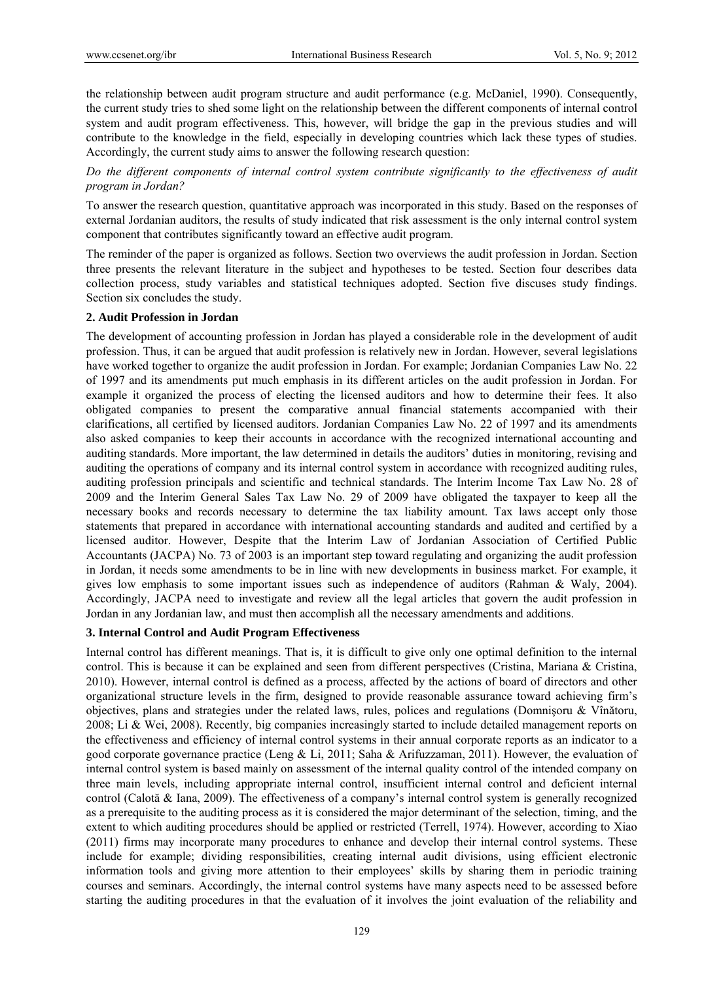the relationship between audit program structure and audit performance (e.g. McDaniel, 1990). Consequently, the current study tries to shed some light on the relationship between the different components of internal control system and audit program effectiveness. This, however, will bridge the gap in the previous studies and will contribute to the knowledge in the field, especially in developing countries which lack these types of studies. Accordingly, the current study aims to answer the following research question:

# *Do the different components of internal control system contribute significantly to the effectiveness of audit program in Jordan?*

To answer the research question, quantitative approach was incorporated in this study. Based on the responses of external Jordanian auditors, the results of study indicated that risk assessment is the only internal control system component that contributes significantly toward an effective audit program.

The reminder of the paper is organized as follows. Section two overviews the audit profession in Jordan. Section three presents the relevant literature in the subject and hypotheses to be tested. Section four describes data collection process, study variables and statistical techniques adopted. Section five discuses study findings. Section six concludes the study.

### **2. Audit Profession in Jordan**

The development of accounting profession in Jordan has played a considerable role in the development of audit profession. Thus, it can be argued that audit profession is relatively new in Jordan. However, several legislations have worked together to organize the audit profession in Jordan. For example; Jordanian Companies Law No. 22 of 1997 and its amendments put much emphasis in its different articles on the audit profession in Jordan. For example it organized the process of electing the licensed auditors and how to determine their fees. It also obligated companies to present the comparative annual financial statements accompanied with their clarifications, all certified by licensed auditors. Jordanian Companies Law No. 22 of 1997 and its amendments also asked companies to keep their accounts in accordance with the recognized international accounting and auditing standards. More important, the law determined in details the auditors' duties in monitoring, revising and auditing the operations of company and its internal control system in accordance with recognized auditing rules, auditing profession principals and scientific and technical standards. The Interim Income Tax Law No. 28 of 2009 and the Interim General Sales Tax Law No. 29 of 2009 have obligated the taxpayer to keep all the necessary books and records necessary to determine the tax liability amount. Tax laws accept only those statements that prepared in accordance with international accounting standards and audited and certified by a licensed auditor. However, Despite that the Interim Law of Jordanian Association of Certified Public Accountants (JACPA) No. 73 of 2003 is an important step toward regulating and organizing the audit profession in Jordan, it needs some amendments to be in line with new developments in business market. For example, it gives low emphasis to some important issues such as independence of auditors (Rahman & Waly, 2004). Accordingly, JACPA need to investigate and review all the legal articles that govern the audit profession in Jordan in any Jordanian law, and must then accomplish all the necessary amendments and additions.

### **3. Internal Control and Audit Program Effectiveness**

Internal control has different meanings. That is, it is difficult to give only one optimal definition to the internal control. This is because it can be explained and seen from different perspectives (Cristina, Mariana & Cristina, 2010). However, internal control is defined as a process, affected by the actions of board of directors and other organizational structure levels in the firm, designed to provide reasonable assurance toward achieving firm's objectives, plans and strategies under the related laws, rules, polices and regulations (Domnişoru & Vînătoru, 2008; Li & Wei, 2008). Recently, big companies increasingly started to include detailed management reports on the effectiveness and efficiency of internal control systems in their annual corporate reports as an indicator to a good corporate governance practice (Leng & Li, 2011; Saha & Arifuzzaman, 2011). However, the evaluation of internal control system is based mainly on assessment of the internal quality control of the intended company on three main levels, including appropriate internal control, insufficient internal control and deficient internal control (Calotă & Iana, 2009). The effectiveness of a company's internal control system is generally recognized as a prerequisite to the auditing process as it is considered the major determinant of the selection, timing, and the extent to which auditing procedures should be applied or restricted (Terrell, 1974). However, according to Xiao (2011) firms may incorporate many procedures to enhance and develop their internal control systems. These include for example; dividing responsibilities, creating internal audit divisions, using efficient electronic information tools and giving more attention to their employees' skills by sharing them in periodic training courses and seminars. Accordingly, the internal control systems have many aspects need to be assessed before starting the auditing procedures in that the evaluation of it involves the joint evaluation of the reliability and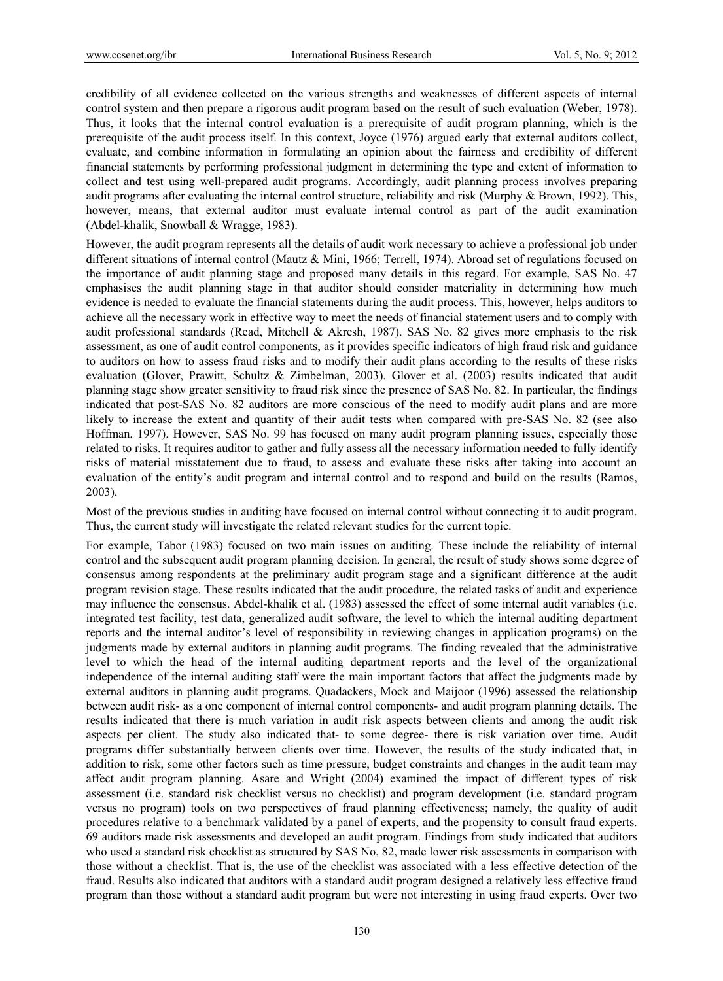credibility of all evidence collected on the various strengths and weaknesses of different aspects of internal control system and then prepare a rigorous audit program based on the result of such evaluation (Weber, 1978). Thus, it looks that the internal control evaluation is a prerequisite of audit program planning, which is the prerequisite of the audit process itself. In this context, Joyce (1976) argued early that external auditors collect, evaluate, and combine information in formulating an opinion about the fairness and credibility of different financial statements by performing professional judgment in determining the type and extent of information to collect and test using well-prepared audit programs. Accordingly, audit planning process involves preparing audit programs after evaluating the internal control structure, reliability and risk (Murphy & Brown, 1992). This, however, means, that external auditor must evaluate internal control as part of the audit examination (Abdel-khalik, Snowball & Wragge, 1983).

However, the audit program represents all the details of audit work necessary to achieve a professional job under different situations of internal control (Mautz & Mini, 1966; Terrell, 1974). Abroad set of regulations focused on the importance of audit planning stage and proposed many details in this regard. For example, SAS No. 47 emphasises the audit planning stage in that auditor should consider materiality in determining how much evidence is needed to evaluate the financial statements during the audit process. This, however, helps auditors to achieve all the necessary work in effective way to meet the needs of financial statement users and to comply with audit professional standards (Read, Mitchell & Akresh, 1987). SAS No. 82 gives more emphasis to the risk assessment, as one of audit control components, as it provides specific indicators of high fraud risk and guidance to auditors on how to assess fraud risks and to modify their audit plans according to the results of these risks evaluation (Glover, Prawitt, Schultz & Zimbelman, 2003). Glover et al. (2003) results indicated that audit planning stage show greater sensitivity to fraud risk since the presence of SAS No. 82. In particular, the findings indicated that post-SAS No. 82 auditors are more conscious of the need to modify audit plans and are more likely to increase the extent and quantity of their audit tests when compared with pre-SAS No. 82 (see also Hoffman, 1997). However, SAS No. 99 has focused on many audit program planning issues, especially those related to risks. It requires auditor to gather and fully assess all the necessary information needed to fully identify risks of material misstatement due to fraud, to assess and evaluate these risks after taking into account an evaluation of the entity's audit program and internal control and to respond and build on the results (Ramos, 2003).

Most of the previous studies in auditing have focused on internal control without connecting it to audit program. Thus, the current study will investigate the related relevant studies for the current topic.

For example, Tabor (1983) focused on two main issues on auditing. These include the reliability of internal control and the subsequent audit program planning decision. In general, the result of study shows some degree of consensus among respondents at the preliminary audit program stage and a significant difference at the audit program revision stage. These results indicated that the audit procedure, the related tasks of audit and experience may influence the consensus. Abdel-khalik et al. (1983) assessed the effect of some internal audit variables (i.e. integrated test facility, test data, generalized audit software, the level to which the internal auditing department reports and the internal auditor's level of responsibility in reviewing changes in application programs) on the judgments made by external auditors in planning audit programs. The finding revealed that the administrative level to which the head of the internal auditing department reports and the level of the organizational independence of the internal auditing staff were the main important factors that affect the judgments made by external auditors in planning audit programs. Quadackers, Mock and Maijoor (1996) assessed the relationship between audit risk- as a one component of internal control components- and audit program planning details. The results indicated that there is much variation in audit risk aspects between clients and among the audit risk aspects per client. The study also indicated that- to some degree- there is risk variation over time. Audit programs differ substantially between clients over time. However, the results of the study indicated that, in addition to risk, some other factors such as time pressure, budget constraints and changes in the audit team may affect audit program planning. Asare and Wright (2004) examined the impact of different types of risk assessment (i.e. standard risk checklist versus no checklist) and program development (i.e. standard program versus no program) tools on two perspectives of fraud planning effectiveness; namely, the quality of audit procedures relative to a benchmark validated by a panel of experts, and the propensity to consult fraud experts. 69 auditors made risk assessments and developed an audit program. Findings from study indicated that auditors who used a standard risk checklist as structured by SAS No, 82, made lower risk assessments in comparison with those without a checklist. That is, the use of the checklist was associated with a less effective detection of the fraud. Results also indicated that auditors with a standard audit program designed a relatively less effective fraud program than those without a standard audit program but were not interesting in using fraud experts. Over two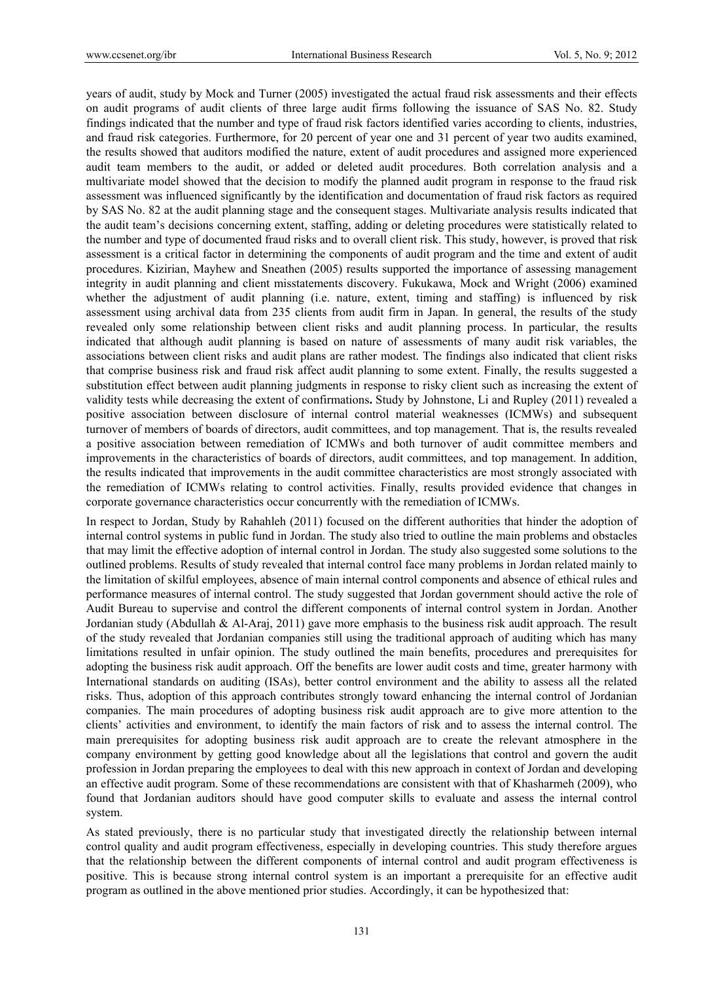years of audit, study by Mock and Turner (2005) investigated the actual fraud risk assessments and their effects on audit programs of audit clients of three large audit firms following the issuance of SAS No. 82. Study findings indicated that the number and type of fraud risk factors identified varies according to clients, industries, and fraud risk categories. Furthermore, for 20 percent of year one and 31 percent of year two audits examined, the results showed that auditors modified the nature, extent of audit procedures and assigned more experienced audit team members to the audit, or added or deleted audit procedures. Both correlation analysis and a multivariate model showed that the decision to modify the planned audit program in response to the fraud risk assessment was influenced significantly by the identification and documentation of fraud risk factors as required by SAS No. 82 at the audit planning stage and the consequent stages. Multivariate analysis results indicated that the audit team's decisions concerning extent, staffing, adding or deleting procedures were statistically related to the number and type of documented fraud risks and to overall client risk. This study, however, is proved that risk assessment is a critical factor in determining the components of audit program and the time and extent of audit procedures. Kizirian, Mayhew and Sneathen (2005) results supported the importance of assessing management integrity in audit planning and client misstatements discovery. Fukukawa, Mock and Wright (2006) examined whether the adjustment of audit planning (i.e. nature, extent, timing and staffing) is influenced by risk assessment using archival data from 235 clients from audit firm in Japan. In general, the results of the study revealed only some relationship between client risks and audit planning process. In particular, the results indicated that although audit planning is based on nature of assessments of many audit risk variables, the associations between client risks and audit plans are rather modest. The findings also indicated that client risks that comprise business risk and fraud risk affect audit planning to some extent. Finally, the results suggested a substitution effect between audit planning judgments in response to risky client such as increasing the extent of validity tests while decreasing the extent of confirmations**.** Study by Johnstone, Li and Rupley (2011) revealed a positive association between disclosure of internal control material weaknesses (ICMWs) and subsequent turnover of members of boards of directors, audit committees, and top management. That is, the results revealed a positive association between remediation of ICMWs and both turnover of audit committee members and improvements in the characteristics of boards of directors, audit committees, and top management. In addition, the results indicated that improvements in the audit committee characteristics are most strongly associated with the remediation of ICMWs relating to control activities. Finally, results provided evidence that changes in corporate governance characteristics occur concurrently with the remediation of ICMWs.

In respect to Jordan, Study by Rahahleh (2011) focused on the different authorities that hinder the adoption of internal control systems in public fund in Jordan. The study also tried to outline the main problems and obstacles that may limit the effective adoption of internal control in Jordan. The study also suggested some solutions to the outlined problems. Results of study revealed that internal control face many problems in Jordan related mainly to the limitation of skilful employees, absence of main internal control components and absence of ethical rules and performance measures of internal control. The study suggested that Jordan government should active the role of Audit Bureau to supervise and control the different components of internal control system in Jordan. Another Jordanian study (Abdullah & Al-Araj, 2011) gave more emphasis to the business risk audit approach. The result of the study revealed that Jordanian companies still using the traditional approach of auditing which has many limitations resulted in unfair opinion. The study outlined the main benefits, procedures and prerequisites for adopting the business risk audit approach. Off the benefits are lower audit costs and time, greater harmony with International standards on auditing (ISAs), better control environment and the ability to assess all the related risks. Thus, adoption of this approach contributes strongly toward enhancing the internal control of Jordanian companies. The main procedures of adopting business risk audit approach are to give more attention to the clients' activities and environment, to identify the main factors of risk and to assess the internal control. The main prerequisites for adopting business risk audit approach are to create the relevant atmosphere in the company environment by getting good knowledge about all the legislations that control and govern the audit profession in Jordan preparing the employees to deal with this new approach in context of Jordan and developing an effective audit program. Some of these recommendations are consistent with that of Khasharmeh (2009), who found that Jordanian auditors should have good computer skills to evaluate and assess the internal control system.

As stated previously, there is no particular study that investigated directly the relationship between internal control quality and audit program effectiveness, especially in developing countries. This study therefore argues that the relationship between the different components of internal control and audit program effectiveness is positive. This is because strong internal control system is an important a prerequisite for an effective audit program as outlined in the above mentioned prior studies. Accordingly, it can be hypothesized that: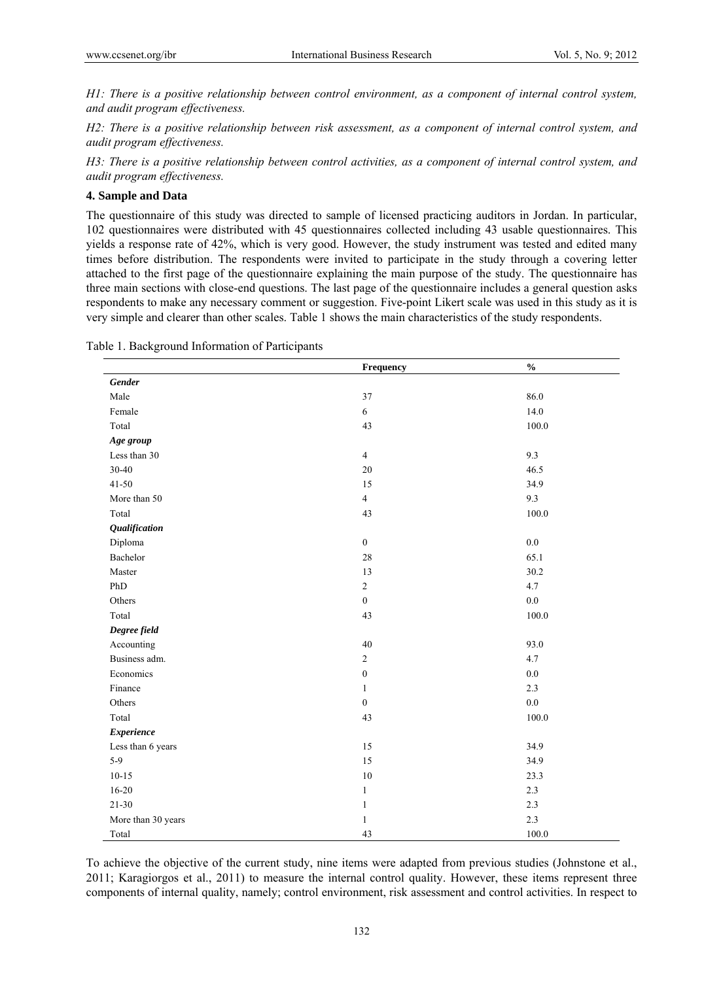*H1: There is a positive relationship between control environment, as a component of internal control system, and audit program effectiveness.* 

*H2: There is a positive relationship between risk assessment, as a component of internal control system, and audit program effectiveness.* 

*H3: There is a positive relationship between control activities, as a component of internal control system, and audit program effectiveness.* 

### **4. Sample and Data**

The questionnaire of this study was directed to sample of licensed practicing auditors in Jordan. In particular, 102 questionnaires were distributed with 45 questionnaires collected including 43 usable questionnaires. This yields a response rate of 42%, which is very good. However, the study instrument was tested and edited many times before distribution. The respondents were invited to participate in the study through a covering letter attached to the first page of the questionnaire explaining the main purpose of the study. The questionnaire has three main sections with close-end questions. The last page of the questionnaire includes a general question asks respondents to make any necessary comment or suggestion. Five-point Likert scale was used in this study as it is very simple and clearer than other scales. Table 1 shows the main characteristics of the study respondents.

|                    | Frequency        | $\mathbf{0}_{\mathbf{0}}^{\prime}$ |
|--------------------|------------------|------------------------------------|
| Gender             |                  |                                    |
| Male               | 37               | 86.0                               |
| Female             | $\sqrt{6}$       | 14.0                               |
| Total              | 43               | 100.0                              |
| Age group          |                  |                                    |
| Less than 30       | $\overline{4}$   | 9.3                                |
| 30-40              | 20               | 46.5                               |
| $41 - 50$          | 15               | 34.9                               |
| More than 50       | $\overline{4}$   | 9.3                                |
| Total              | 43               | 100.0                              |
| Qualification      |                  |                                    |
| Diploma            | $\mathbf{0}$     | $0.0\,$                            |
| Bachelor           | 28               | 65.1                               |
| Master             | 13               | 30.2                               |
| PhD                | $\overline{2}$   | 4.7                                |
| Others             | $\boldsymbol{0}$ | 0.0                                |
| Total              | 43               | 100.0                              |
| Degree field       |                  |                                    |
| Accounting         | 40               | 93.0                               |
| Business adm.      | $\overline{2}$   | 4.7                                |
| Economics          | $\boldsymbol{0}$ | 0.0                                |
| Finance            | $\mathbf{1}$     | 2.3                                |
| Others             | $\boldsymbol{0}$ | $0.0\,$                            |
| Total              | 43               | 100.0                              |
| <b>Experience</b>  |                  |                                    |
| Less than 6 years  | 15               | 34.9                               |
| $5-9$              | 15               | 34.9                               |
| $10 - 15$          | $10\,$           | 23.3                               |
| $16 - 20$          | $\mathbf{1}$     | 2.3                                |
| $21 - 30$          | $\mathbf{1}$     | 2.3                                |
| More than 30 years | $\mathbf{1}$     | 2.3                                |
| Total              | 43               | $100.0\,$                          |

Table 1. Background Information of Participants

To achieve the objective of the current study, nine items were adapted from previous studies (Johnstone et al., 2011; Karagiorgos et al., 2011) to measure the internal control quality. However, these items represent three components of internal quality, namely; control environment, risk assessment and control activities. In respect to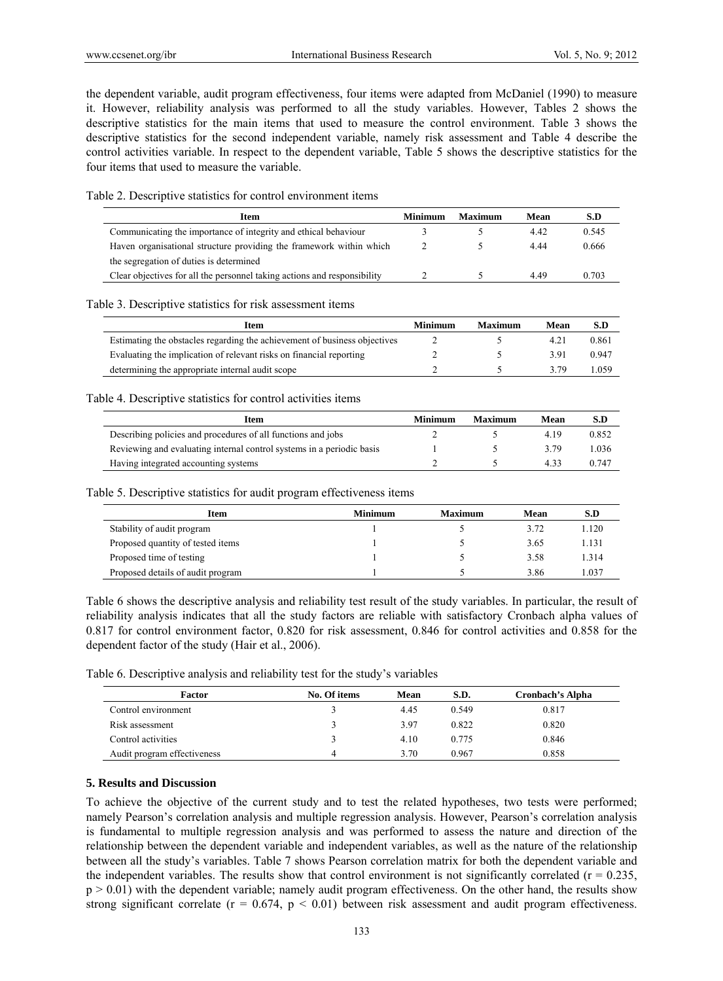the dependent variable, audit program effectiveness, four items were adapted from McDaniel (1990) to measure it. However, reliability analysis was performed to all the study variables. However, Tables 2 shows the descriptive statistics for the main items that used to measure the control environment. Table 3 shows the descriptive statistics for the second independent variable, namely risk assessment and Table 4 describe the control activities variable. In respect to the dependent variable, Table 5 shows the descriptive statistics for the four items that used to measure the variable.

Table 2. Descriptive statistics for control environment items

| <b>Item</b>                                                              | <b>Minimum</b> | <b>Maximum</b> | Mean | S.D   |
|--------------------------------------------------------------------------|----------------|----------------|------|-------|
| Communicating the importance of integrity and ethical behaviour          |                |                | 4.42 | 0.545 |
| Haven organisational structure providing the framework within which      |                |                | 4.44 | 0.666 |
| the segregation of duties is determined                                  |                |                |      |       |
| Clear objectives for all the personnel taking actions and responsibility |                |                | 4.49 | 0.703 |

Table 3. Descriptive statistics for risk assessment items

| Item                                                                      | <b>Minimum</b> | <b>Maximum</b> | Mean | S.D   |
|---------------------------------------------------------------------------|----------------|----------------|------|-------|
| Estimating the obstacles regarding the achievement of business objectives |                |                | 4.21 | 0.861 |
| Evaluating the implication of relevant risks on financial reporting       |                |                | 391  | 0.947 |
| determining the appropriate internal audit scope                          |                |                | 3.79 | l.059 |

Table 4. Descriptive statistics for control activities items

| Item                                                                  | <b>Minimum</b> | <b>Maximum</b> | Mean | S.D   |
|-----------------------------------------------------------------------|----------------|----------------|------|-------|
| Describing policies and procedures of all functions and jobs          |                |                | 419  | 0.852 |
| Reviewing and evaluating internal control systems in a periodic basis |                |                | 3.79 | 1.036 |
| Having integrated accounting systems                                  |                |                | 433  | 0.747 |

Table 5. Descriptive statistics for audit program effectiveness items

| Item                              | <b>Minimum</b> | Maximum | Mean | S.D   |
|-----------------------------------|----------------|---------|------|-------|
| Stability of audit program        |                |         | 3.72 | 1.120 |
| Proposed quantity of tested items |                |         | 3.65 | 1.131 |
| Proposed time of testing          |                |         | 3.58 | 1.314 |
| Proposed details of audit program |                |         | 3.86 | .037  |

Table 6 shows the descriptive analysis and reliability test result of the study variables. In particular, the result of reliability analysis indicates that all the study factors are reliable with satisfactory Cronbach alpha values of 0.817 for control environment factor, 0.820 for risk assessment, 0.846 for control activities and 0.858 for the dependent factor of the study (Hair et al., 2006).

Table 6. Descriptive analysis and reliability test for the study's variables

| Factor                      | No. Of items | Mean | S.D.  | Cronbach's Alpha |
|-----------------------------|--------------|------|-------|------------------|
| Control environment         |              | 4.45 | 0.549 | 0.817            |
| Risk assessment             |              | 3.97 | 0.822 | 0.820            |
| Control activities          |              | 4.10 | 0.775 | 0.846            |
| Audit program effectiveness |              | 3.70 | 0.967 | 0.858            |

### **5. Results and Discussion**

To achieve the objective of the current study and to test the related hypotheses, two tests were performed; namely Pearson's correlation analysis and multiple regression analysis. However, Pearson's correlation analysis is fundamental to multiple regression analysis and was performed to assess the nature and direction of the relationship between the dependent variable and independent variables, as well as the nature of the relationship between all the study's variables. Table 7 shows Pearson correlation matrix for both the dependent variable and the independent variables. The results show that control environment is not significantly correlated  $(r = 0.235)$ ,  $p > 0.01$ ) with the dependent variable; namely audit program effectiveness. On the other hand, the results show strong significant correlate ( $r = 0.674$ ,  $p < 0.01$ ) between risk assessment and audit program effectiveness.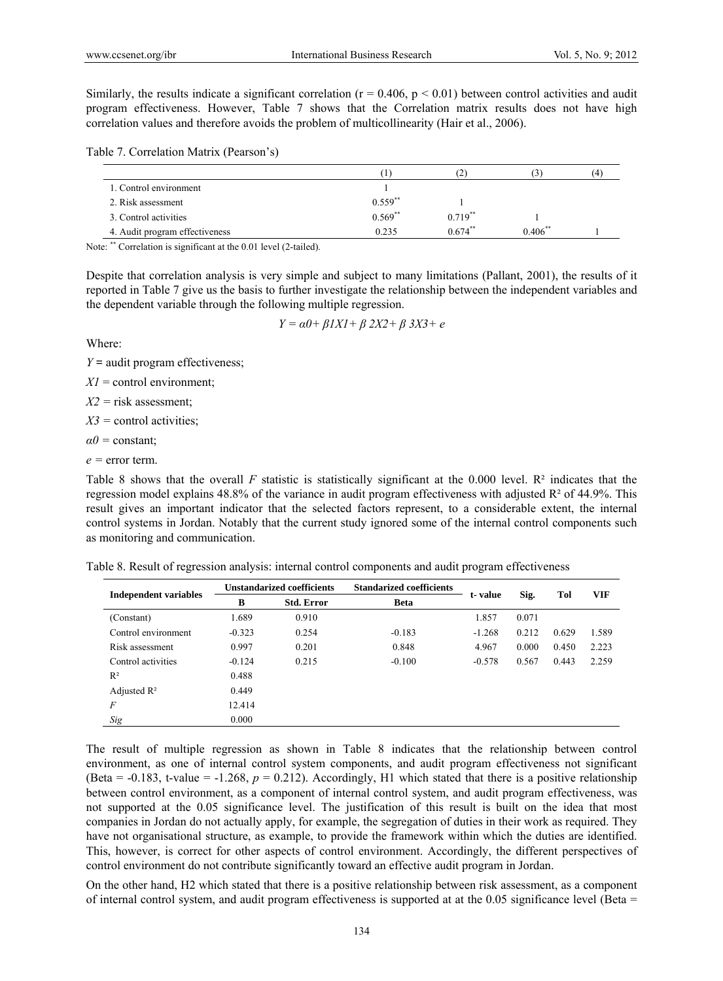Similarly, the results indicate a significant correlation  $(r = 0.406, p < 0.01)$  between control activities and audit program effectiveness. However, Table 7 shows that the Correlation matrix results does not have high correlation values and therefore avoids the problem of multicollinearity (Hair et al., 2006).

Table 7. Correlation Matrix (Pearson's)

|                                |            | ے ا        |              |  |
|--------------------------------|------------|------------|--------------|--|
| 1. Control environment         |            |            |              |  |
| 2. Risk assessment             | $0.559$ ** |            |              |  |
| 3. Control activities          | $0.569$ ** | $0.719***$ |              |  |
| 4. Audit program effectiveness | 0.235      | $0.674**$  | $0.406^{**}$ |  |

Note: \*\* Correlation is significant at the 0.01 level (2-tailed).

Despite that correlation analysis is very simple and subject to many limitations (Pallant, 2001), the results of it reported in Table 7 give us the basis to further investigate the relationship between the independent variables and the dependent variable through the following multiple regression.

$$
Y = \alpha 0 + \beta I X I + \beta 2X 2 + \beta 3X 3 + e
$$

Where:

 $Y =$  audit program effectiveness;

 $XI$  = control environment;

 $X2$  = risk assessment;

*X3 =* control activities;

 $\alpha \theta$  = constant;

 $e =$  error term.

Table 8 shows that the overall *F* statistic is statistically significant at the 0.000 level. R² indicates that the regression model explains 48.8% of the variance in audit program effectiveness with adjusted  $R^2$  of 44.9%. This result gives an important indicator that the selected factors represent, to a considerable extent, the internal control systems in Jordan. Notably that the current study ignored some of the internal control components such as monitoring and communication.

|  |  |  |  | Table 8. Result of regression analysis: internal control components and audit program effectiveness |
|--|--|--|--|-----------------------------------------------------------------------------------------------------|
|  |  |  |  |                                                                                                     |

|                              | <b>Unstandarized coefficients</b> |                                  | <b>Standarized coefficients</b> |          |       |       | <b>VIF</b> |
|------------------------------|-----------------------------------|----------------------------------|---------------------------------|----------|-------|-------|------------|
| <b>Independent variables</b> | B                                 | <b>Std. Error</b><br><b>Beta</b> |                                 | t-value  | Sig.  | Tol   |            |
| (Constant)                   | 1.689                             | 0.910                            |                                 | 1.857    | 0.071 |       |            |
| Control environment          | $-0.323$                          | 0.254                            | $-0.183$                        | $-1.268$ | 0.212 | 0.629 | 1.589      |
| Risk assessment              | 0.997                             | 0.201                            | 0.848                           | 4.967    | 0.000 | 0.450 | 2.223      |
| Control activities           | $-0.124$                          | 0.215                            | $-0.100$                        | $-0.578$ | 0.567 | 0.443 | 2.259      |
| $R^2$                        | 0.488                             |                                  |                                 |          |       |       |            |
| Adjusted $R^2$               | 0.449                             |                                  |                                 |          |       |       |            |
| $\overline{F}$               | 12.414                            |                                  |                                 |          |       |       |            |
| Sig                          | 0.000                             |                                  |                                 |          |       |       |            |

The result of multiple regression as shown in Table 8 indicates that the relationship between control environment, as one of internal control system components, and audit program effectiveness not significant (Beta =  $-0.183$ , t-value =  $-1.268$ ,  $p = 0.212$ ). Accordingly, H1 which stated that there is a positive relationship between control environment, as a component of internal control system, and audit program effectiveness, was not supported at the 0.05 significance level. The justification of this result is built on the idea that most companies in Jordan do not actually apply, for example, the segregation of duties in their work as required. They have not organisational structure, as example, to provide the framework within which the duties are identified. This, however, is correct for other aspects of control environment. Accordingly, the different perspectives of control environment do not contribute significantly toward an effective audit program in Jordan.

On the other hand, H2 which stated that there is a positive relationship between risk assessment, as a component of internal control system, and audit program effectiveness is supported at at the 0.05 significance level (Beta =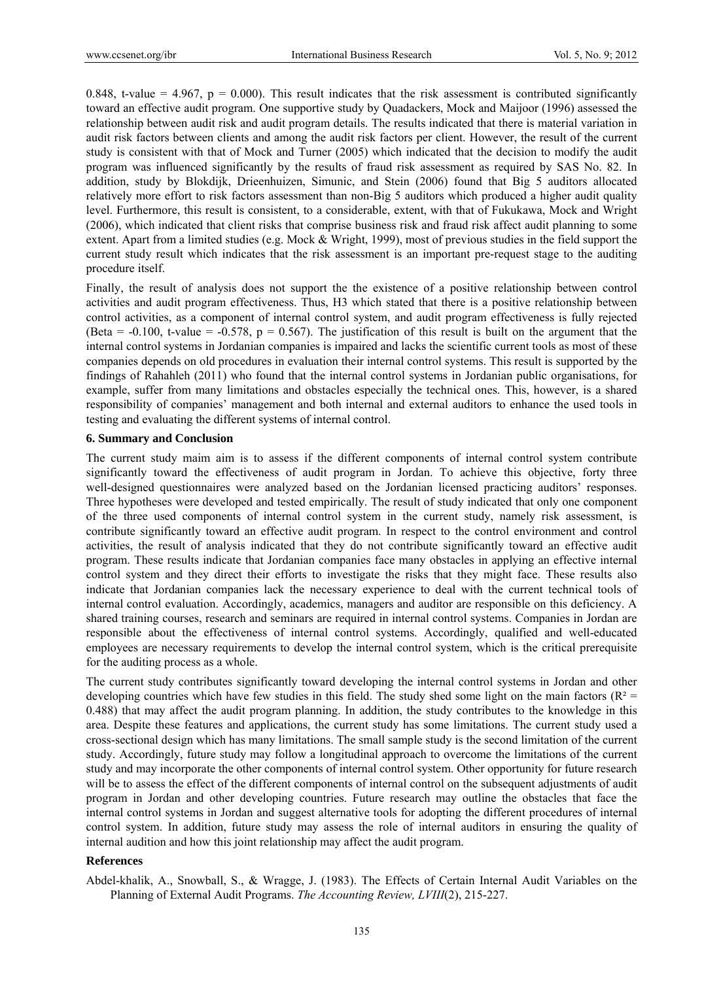0.848, t-value = 4.967,  $p = 0.000$ ). This result indicates that the risk assessment is contributed significantly toward an effective audit program. One supportive study by Quadackers, Mock and Maijoor (1996) assessed the relationship between audit risk and audit program details. The results indicated that there is material variation in audit risk factors between clients and among the audit risk factors per client. However, the result of the current study is consistent with that of Mock and Turner (2005) which indicated that the decision to modify the audit program was influenced significantly by the results of fraud risk assessment as required by SAS No. 82. In addition, study by Blokdijk, Drieenhuizen, Simunic, and Stein (2006) found that Big 5 auditors allocated relatively more effort to risk factors assessment than non-Big 5 auditors which produced a higher audit quality level. Furthermore, this result is consistent, to a considerable, extent, with that of Fukukawa, Mock and Wright (2006), which indicated that client risks that comprise business risk and fraud risk affect audit planning to some extent. Apart from a limited studies (e.g. Mock & Wright, 1999), most of previous studies in the field support the current study result which indicates that the risk assessment is an important pre-request stage to the auditing procedure itself.

Finally, the result of analysis does not support the the existence of a positive relationship between control activities and audit program effectiveness. Thus, H3 which stated that there is a positive relationship between control activities, as a component of internal control system, and audit program effectiveness is fully rejected (Beta =  $-0.100$ , t-value =  $-0.578$ , p = 0.567). The justification of this result is built on the argument that the internal control systems in Jordanian companies is impaired and lacks the scientific current tools as most of these companies depends on old procedures in evaluation their internal control systems. This result is supported by the findings of Rahahleh (2011) who found that the internal control systems in Jordanian public organisations, for example, suffer from many limitations and obstacles especially the technical ones. This, however, is a shared responsibility of companies' management and both internal and external auditors to enhance the used tools in testing and evaluating the different systems of internal control.

#### **6. Summary and Conclusion**

The current study maim aim is to assess if the different components of internal control system contribute significantly toward the effectiveness of audit program in Jordan. To achieve this objective, forty three well-designed questionnaires were analyzed based on the Jordanian licensed practicing auditors' responses. Three hypotheses were developed and tested empirically. The result of study indicated that only one component of the three used components of internal control system in the current study, namely risk assessment, is contribute significantly toward an effective audit program. In respect to the control environment and control activities, the result of analysis indicated that they do not contribute significantly toward an effective audit program. These results indicate that Jordanian companies face many obstacles in applying an effective internal control system and they direct their efforts to investigate the risks that they might face. These results also indicate that Jordanian companies lack the necessary experience to deal with the current technical tools of internal control evaluation. Accordingly, academics, managers and auditor are responsible on this deficiency. A shared training courses, research and seminars are required in internal control systems. Companies in Jordan are responsible about the effectiveness of internal control systems. Accordingly, qualified and well-educated employees are necessary requirements to develop the internal control system, which is the critical prerequisite for the auditing process as a whole.

The current study contributes significantly toward developing the internal control systems in Jordan and other developing countries which have few studies in this field. The study shed some light on the main factors ( $R^2$  = 0.488) that may affect the audit program planning. In addition, the study contributes to the knowledge in this area. Despite these features and applications, the current study has some limitations. The current study used a cross-sectional design which has many limitations. The small sample study is the second limitation of the current study. Accordingly, future study may follow a longitudinal approach to overcome the limitations of the current study and may incorporate the other components of internal control system. Other opportunity for future research will be to assess the effect of the different components of internal control on the subsequent adjustments of audit program in Jordan and other developing countries. Future research may outline the obstacles that face the internal control systems in Jordan and suggest alternative tools for adopting the different procedures of internal control system. In addition, future study may assess the role of internal auditors in ensuring the quality of internal audition and how this joint relationship may affect the audit program.

#### **References**

Abdel-khalik, A., Snowball, S., & Wragge, J. (1983). The Effects of Certain Internal Audit Variables on the Planning of External Audit Programs. *The Accounting Review, LVIII*(2), 215-227.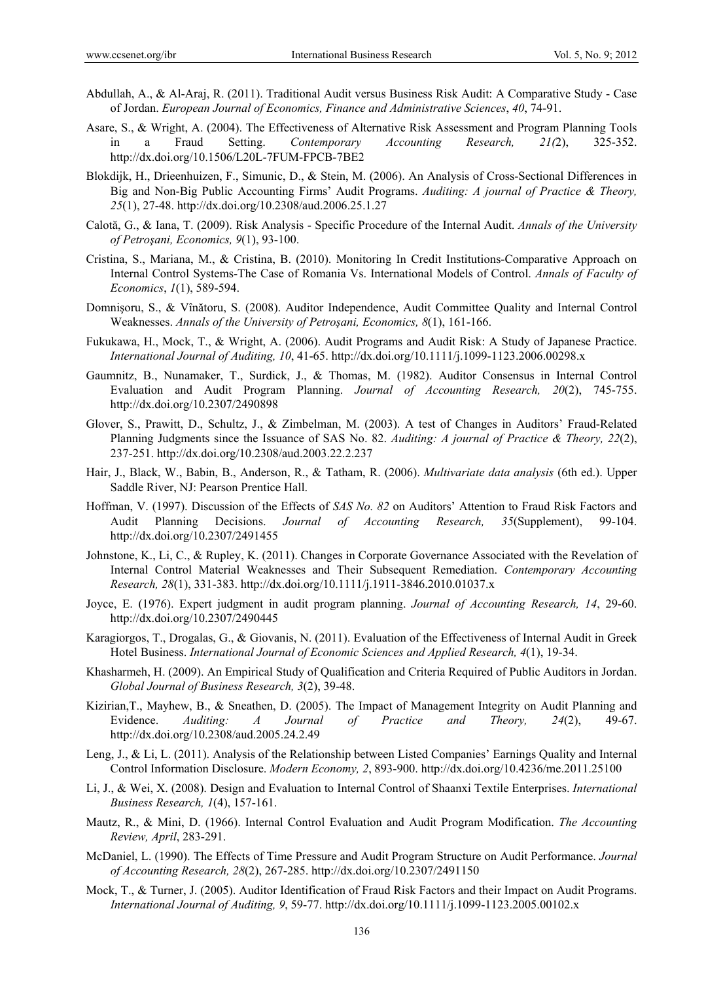- Abdullah, A., & Al-Araj, R. (2011). Traditional Audit versus Business Risk Audit: A Comparative Study Case of Jordan. *European Journal of Economics, Finance and Administrative Sciences*, *40*, 74-91.
- Asare, S., & Wright, A. (2004). The Effectiveness of Alternative Risk Assessment and Program Planning Tools in a Fraud Setting. *Contemporary Accounting Research, 21(*2), 325-352. http://dx.doi.org/10.1506/L20L-7FUM-FPCB-7BE2
- Blokdijk, H., Drieenhuizen, F., Simunic, D., & Stein, M. (2006). An Analysis of Cross-Sectional Differences in Big and Non-Big Public Accounting Firms' Audit Programs. *Auditing: A journal of Practice & Theory, 25*(1), 27-48. http://dx.doi.org/10.2308/aud.2006.25.1.27
- Calotă, G., & Iana, T. (2009). Risk Analysis Specific Procedure of the Internal Audit. *Annals of the University of Petroşani, Economics, 9*(1), 93-100.
- Cristina, S., Mariana, M., & Cristina, B. (2010). Monitoring In Credit Institutions-Comparative Approach on Internal Control Systems-The Case of Romania Vs. International Models of Control. *Annals of Faculty of Economics*, *1*(1), 589-594.
- Domnişoru, S., & Vînătoru, S. (2008). Auditor Independence, Audit Committee Quality and Internal Control Weaknesses. *Annals of the University of Petroşani, Economics, 8*(1), 161-166.
- Fukukawa, H., Mock, T., & Wright, A. (2006). Audit Programs and Audit Risk: A Study of Japanese Practice. *International Journal of Auditing, 10*, 41-65. http://dx.doi.org/10.1111/j.1099-1123.2006.00298.x
- Gaumnitz, B., Nunamaker, T., Surdick, J., & Thomas, M. (1982). Auditor Consensus in Internal Control Evaluation and Audit Program Planning. *Journal of Accounting Research, 20*(2), 745-755. http://dx.doi.org/10.2307/2490898
- Glover, S., Prawitt, D., Schultz, J., & Zimbelman, M. (2003). A test of Changes in Auditors' Fraud-Related Planning Judgments since the Issuance of SAS No. 82. *Auditing: A journal of Practice & Theory, 22*(2), 237-251. http://dx.doi.org/10.2308/aud.2003.22.2.237
- Hair, J., Black, W., Babin, B., Anderson, R., & Tatham, R. (2006). *Multivariate data analysis* (6th ed.). Upper Saddle River, NJ: Pearson Prentice Hall.
- Hoffman, V. (1997). Discussion of the Effects of *SAS No. 82* on Auditors' Attention to Fraud Risk Factors and Audit Planning Decisions. *Journal of Accounting Research, 35*(Supplement), 99-104. http://dx.doi.org/10.2307/2491455
- Johnstone, K., Li, C., & Rupley, K. (2011). Changes in Corporate Governance Associated with the Revelation of Internal Control Material Weaknesses and Their Subsequent Remediation. *Contemporary Accounting Research, 28*(1), 331-383. http://dx.doi.org/10.1111/j.1911-3846.2010.01037.x
- Joyce, E. (1976). Expert judgment in audit program planning. *Journal of Accounting Research, 14*, 29-60. http://dx.doi.org/10.2307/2490445
- Karagiorgos, T., Drogalas, G., & Giovanis, N. (2011). Evaluation of the Effectiveness of Internal Audit in Greek Hotel Business. *International Journal of Economic Sciences and Applied Research, 4*(1), 19-34.
- Khasharmeh, H. (2009). An Empirical Study of Qualification and Criteria Required of Public Auditors in Jordan. *Global Journal of Business Research, 3*(2), 39-48.
- Kizirian,T., Mayhew, B., & Sneathen, D. (2005). The Impact of Management Integrity on Audit Planning and Evidence. *Auditing: A Journal of Practice and Theory, 24*(2), 49-67. http://dx.doi.org/10.2308/aud.2005.24.2.49
- Leng, J., & Li, L. (2011). Analysis of the Relationship between Listed Companies' Earnings Quality and Internal Control Information Disclosure. *Modern Economy, 2*, 893-900. http://dx.doi.org/10.4236/me.2011.25100
- Li, J., & Wei, X. (2008). Design and Evaluation to Internal Control of Shaanxi Textile Enterprises. *International Business Research, 1*(4), 157-161.
- Mautz, R., & Mini, D. (1966). Internal Control Evaluation and Audit Program Modification. *The Accounting Review, April*, 283-291.
- McDaniel, L. (1990). The Effects of Time Pressure and Audit Program Structure on Audit Performance. *Journal of Accounting Research, 28*(2), 267-285. http://dx.doi.org/10.2307/2491150
- Mock, T., & Turner, J. (2005). Auditor Identification of Fraud Risk Factors and their Impact on Audit Programs. *International Journal of Auditing, 9*, 59-77. http://dx.doi.org/10.1111/j.1099-1123.2005.00102.x